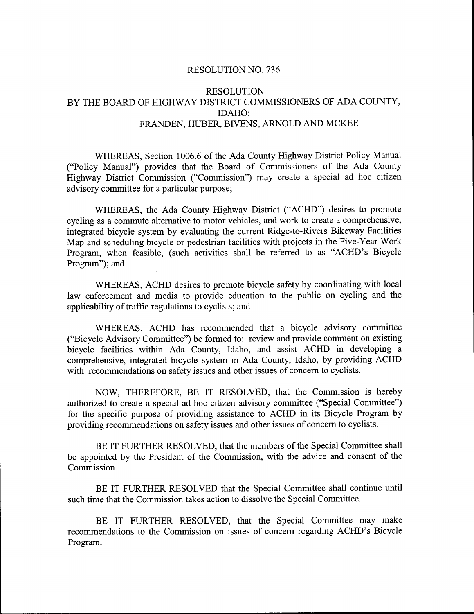## RESOLUTION NO. 736

## RESOLUTION BY THE BOARD OF HIGHWAY DISTRICT COMMISSIONERS OF ADA COUNTY IDAHO FRANDEN, HUBER, BIVENS, ARNOLD AND MCKEE

FRANDEN, HUBER, BIVENS, ARNOLD AND MCKEE<br>WHEREAS, Section 1006.6 of the Ada County Highway District Policy Manual<br>("Policy Manual") provides that the Board of Commissioners of the Ada County Highway District Commission ("Commission") may create a special ad hoc citizen advisory committee for a particular purpose;

WHEREAS, the Ada County Highway District ("ACHD") desires to promote cycling as a commute alternative to motor vehicles, and work to create a comprehensive, advisory committee for a particular purpose;<br>
WHEREAS, the Ada County Highway District ("ACHD") desires to promote<br>
cycling as a commute alternative to motor vehicles, and work to create a comprehensive,<br>
integrated bicycl WHEREAS, the Ada County Highway District ("ACHD") desires to<br>cycling as a commute alternative to motor vehicles, and work to create a compre<br>integrated bicycle system by evaluating the current Ridge-to-Rivers Bikeway I<br>Map Program, when feasible, (such activities shall be referred to as "ACHD's Bicycle Program"); and

WHEREAS, ACHD desires to promote bicycle safety by coordinating with local law enforcement and media to provide education to the public on cycling and the applicability of traffic regulations to cyclists; and

WHEREAS, ACHD has recommended that a bicycle advisory committee ("Bicycle Advisory Committee") be formed to: review and provide comment on existing bicycle facilities within Ada County, Idaho, and assist ACHD in developing a comprehensive, integrated bicycle system in Ada County, Idaho, by providing ACHD with recommendations on safety issues and other issues of concern to cyclists.

NOW, THEREFORE, BE IT RESOLVED, that the Commission is hereby authorized to create a special ad hoc citizen advisory committee ("Special Committee") for the specific purpose of providing assistance to ACHD in its Bicycle Program by providing recommendations on safety issues and other issues of concern to cyclists.

BE IT FURTHER RESOLVED, that the members of the Special Committee shall be appointed by the President of the Commission, with the advice and consent of the Commission

BE IT FURTHER RESOLVED that the Special Committee shall continue until such time that the Commission takes action to dissolve the Special Committee

BE IT FURTHER RESOLVED, that the Special Committee may make recommendations to the Commission on issues of concern regarding ACHD's Bicycle Program